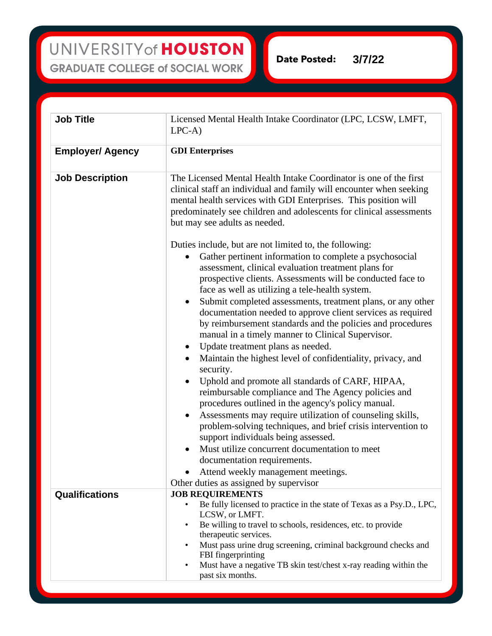UNIVERSITY of HOUSTON **GRADUATE COLLEGE of SOCIAL WORK** 

**Date Posted: 3/7/22**

| <b>Job Title</b>        | Licensed Mental Health Intake Coordinator (LPC, LCSW, LMFT,<br>$LPC-A$                                                                                                                                                                                                                                                                                                                                                                                                                                                                                                                                                                                                                                                                                                                                                                                                                                                                                                                                                                                                                                                                                                                                                                                      |
|-------------------------|-------------------------------------------------------------------------------------------------------------------------------------------------------------------------------------------------------------------------------------------------------------------------------------------------------------------------------------------------------------------------------------------------------------------------------------------------------------------------------------------------------------------------------------------------------------------------------------------------------------------------------------------------------------------------------------------------------------------------------------------------------------------------------------------------------------------------------------------------------------------------------------------------------------------------------------------------------------------------------------------------------------------------------------------------------------------------------------------------------------------------------------------------------------------------------------------------------------------------------------------------------------|
| <b>Employer/ Agency</b> | <b>GDI</b> Enterprises                                                                                                                                                                                                                                                                                                                                                                                                                                                                                                                                                                                                                                                                                                                                                                                                                                                                                                                                                                                                                                                                                                                                                                                                                                      |
| <b>Job Description</b>  | The Licensed Mental Health Intake Coordinator is one of the first<br>clinical staff an individual and family will encounter when seeking<br>mental health services with GDI Enterprises. This position will<br>predominately see children and adolescents for clinical assessments<br>but may see adults as needed.                                                                                                                                                                                                                                                                                                                                                                                                                                                                                                                                                                                                                                                                                                                                                                                                                                                                                                                                         |
|                         | Duties include, but are not limited to, the following:<br>Gather pertinent information to complete a psychosocial<br>$\bullet$<br>assessment, clinical evaluation treatment plans for<br>prospective clients. Assessments will be conducted face to<br>face as well as utilizing a tele-health system.<br>Submit completed assessments, treatment plans, or any other<br>$\bullet$<br>documentation needed to approve client services as required<br>by reimbursement standards and the policies and procedures<br>manual in a timely manner to Clinical Supervisor.<br>Update treatment plans as needed.<br>$\bullet$<br>Maintain the highest level of confidentiality, privacy, and<br>$\bullet$<br>security.<br>Uphold and promote all standards of CARF, HIPAA,<br>$\bullet$<br>reimbursable compliance and The Agency policies and<br>procedures outlined in the agency's policy manual.<br>Assessments may require utilization of counseling skills,<br>$\bullet$<br>problem-solving techniques, and brief crisis intervention to<br>support individuals being assessed.<br>Must utilize concurrent documentation to meet<br>$\bullet$<br>documentation requirements.<br>Attend weekly management meetings.<br>Other duties as assigned by supervisor |
| <b>Qualifications</b>   | <b>JOB REQUIREMENTS</b>                                                                                                                                                                                                                                                                                                                                                                                                                                                                                                                                                                                                                                                                                                                                                                                                                                                                                                                                                                                                                                                                                                                                                                                                                                     |
|                         | Be fully licensed to practice in the state of Texas as a Psy.D., LPC,<br>LCSW, or LMFT.<br>Be willing to travel to schools, residences, etc. to provide<br>$\bullet$<br>therapeutic services.<br>Must pass urine drug screening, criminal background checks and<br>$\bullet$<br>FBI fingerprinting<br>Must have a negative TB skin test/chest x-ray reading within the<br>$\bullet$<br>past six months.                                                                                                                                                                                                                                                                                                                                                                                                                                                                                                                                                                                                                                                                                                                                                                                                                                                     |